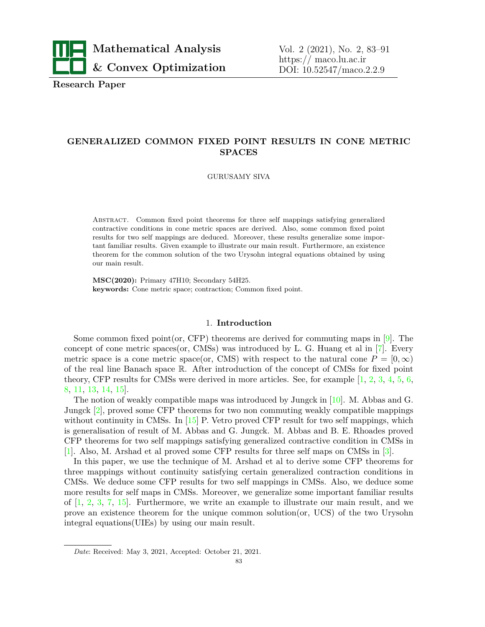

**Research Paper**

# **GENERALIZED COMMON FIXED POINT RESULTS IN CONE METRIC SPACES**

GURUSAMY SIVA

Abstract. Common fixed point theorems for three self mappings satisfying generalized contractive conditions in cone metric spaces are derived. Also, some common fixed point results for two self mappings are deduced. Moreover, these results generalize some important familiar results. Given example to illustrate our main result. Furthermore, an existence theorem for the common solution of the two Urysohn integral equations obtained by using our main result.

**MSC(2020):** Primary 47H10; Secondary 54H25. **keywords:** Cone metric space; contraction; Common fixed point.

#### 1. **Introduction**

Some common fixed point (or, CFP) theorems are derived for commuting maps in  $[9]$  $[9]$  $[9]$ . The concept of cone metric spaces(or,  $\text{CMSs}$ ) was introduced by L. G. Huang et al in [\[7\]](#page-8-1). Every metric space is a cone metric space(or, CMS) with respect to the natural cone  $P = [0, \infty)$ of the real line Banach space R. After introduction of the concept of CMSs for fixed point theory, CFP results for CMSs were derived in more articles. See, for example [\[1,](#page-7-0) [2](#page-7-1), [3](#page-7-2), [4](#page-8-2), [5](#page-8-3), [6,](#page-8-4) [8](#page-8-5), [11](#page-8-6), [13,](#page-8-7) [14](#page-8-8), [15\]](#page-8-9).

The notion of weakly compatible maps was introduced by Jungck in [\[10\]](#page-8-10). M. Abbas and G. Jungck [[2](#page-7-1)], proved some CFP theorems for two non commuting weakly compatible mappings without continuity in CMSs. In [\[15\]](#page-8-9) P. Vetro proved CFP result for two self mappings, which is generalisation of result of M. Abbas and G. Jungck. M. Abbas and B. E. Rhoades proved CFP theorems for two self mappings satisfying generalized contractive condition in CMSs in [\[1](#page-7-0)]. Also, M. Arshad et al proved some CFP results for three self maps on CMSs in [\[3\]](#page-7-2).

In this paper, we use the technique of M. Arshad et al to derive some CFP theorems for three mappings without continuity satisfying certain generalized contraction conditions in CMSs. We deduce some CFP results for two self mappings in CMSs. Also, we deduce some more results for self maps in CMSs. Moreover, we generalize some important familiar results of  $\left[1, 2, 3, 7, 15\right]$  $\left[1, 2, 3, 7, 15\right]$  $\left[1, 2, 3, 7, 15\right]$  $\left[1, 2, 3, 7, 15\right]$  $\left[1, 2, 3, 7, 15\right]$  $\left[1, 2, 3, 7, 15\right]$  $\left[1, 2, 3, 7, 15\right]$  $\left[1, 2, 3, 7, 15\right]$  $\left[1, 2, 3, 7, 15\right]$ . Furthermore, we write an example to illustrate our main result, and we prove an existence theorem for the unique common solution(or, UCS) of the two Urysohn integral equations(UIEs) by using our main result.

*Date*: Received: May 3, 2021, Accepted: October 21, 2021.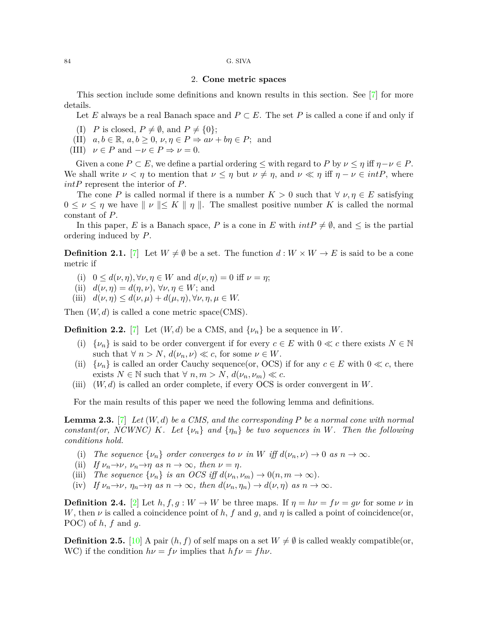#### 84 G. SIVA

## 2. **Cone metric spaces**

This section include some definitions and known results in this section. See [[7](#page-8-1)] for more details.

Let *E* always be a real Banach space and  $P \subset E$ . The set *P* is called a cone if and only if

(I) *P* is closed,  $P \neq \emptyset$ , and  $P \neq \{0\};$ 

 $(II)$   $a, b \in \mathbb{R}, a, b \geq 0, \nu, \eta \in P \Rightarrow a\nu + b\eta \in P$ ; and

(III)  $\nu \in P$  and  $-\nu \in P \Rightarrow \nu = 0$ .

Given a cone  $P \subset E$ , we define a partial ordering  $\leq$  with regard to  $P$  by  $\nu \leq \eta$  iff  $\eta - \nu \in P$ . We shall write  $\nu < \eta$  to mention that  $\nu \leq \eta$  but  $\nu \neq \eta$ , and  $\nu \ll \eta$  iff  $\eta - \nu \in intP$ , where *intP* represent the interior of *P*.

The cone *P* is called normal if there is a number  $K > 0$  such that  $\forall \nu, \eta \in E$  satisfying  $0 \leq \nu \leq \eta$  we have  $\|\nu\| \leq K \|\eta\|$ . The smallest positive number K is called the normal constant of *P*.

In this paper, *E* is a Banach space, *P* is a cone in *E* with  $intP \neq \emptyset$ , and  $\leq$  is the partial ordering induced by *P*.

**Definition 2.1.** [\[7\]](#page-8-1) Let  $W \neq \emptyset$  be a set. The function  $d: W \times W \rightarrow E$  is said to be a cone metric if

- (i)  $0 \leq d(\nu, \eta), \forall \nu, \eta \in W$  and  $d(\nu, \eta) = 0$  iff  $\nu = \eta$ ;
- (ii)  $d(\nu, \eta) = d(\eta, \nu)$ ,  $\forall \nu, \eta \in W$ ; and
- $(iii)$   $d(\nu, \eta) \leq d(\nu, \mu) + d(\mu, \eta), \forall \nu, \eta, \mu \in W$ .

Then  $(W, d)$  is called a cone metric space(CMS).

**Definition 2.2.** [\[7\]](#page-8-1) Let  $(W, d)$  be a CMS, and  $\{\nu_n\}$  be a sequence in W.

- (i)  $\{v_n\}$  is said to be order convergent if for every  $c \in E$  with  $0 \ll c$  there exists  $N \in \mathbb{N}$ such that  $\forall n > N$ ,  $d(\nu_n, \nu) \ll c$ , for some  $\nu \in W$ .
- (ii)  $\{v_n\}$  is called an order Cauchy sequence(or, OCS) if for any  $c \in E$  with  $0 \ll c$ , there exists  $N \in \mathbb{N}$  such that  $\forall n, m > N$ ,  $d(\nu_n, \nu_m) \ll c$ .
- (iii)  $(W, d)$  is called an order complete, if every OCS is order convergent in  $W$ .

For the main results of this paper we need the following lemma and definitions.

**Lemma 2.3.** [\[7\]](#page-8-1) *Let* (*W, d*) *be a CMS, and the corresponding P be a normal cone with normal constant(or, NCWNC) K. Let*  $\{\nu_n\}$  *and*  $\{\eta_n\}$  *be two sequences in W. Then the following conditions hold.*

- (i) *The sequence*  $\{\nu_n\}$  *order converges to*  $\nu$  *in*  $W$  *iff*  $d(\nu_n, \nu) \to 0$  *as*  $n \to \infty$ *.*
- (ii) If  $\nu_n \rightarrow \nu$ ,  $\nu_n \rightarrow \eta$  as  $n \rightarrow \infty$ , then  $\nu = \eta$ .
- (iii) *The sequence*  $\{\nu_n\}$  *is an OCS iff*  $d(\nu_n, \nu_m) \to 0(n, m \to \infty)$ *.*
- (iv) If  $\nu_n \to \nu$ ,  $\eta_n \to \eta$  as  $n \to \infty$ , then  $d(\nu_n, \eta_n) \to d(\nu, \eta)$  as  $n \to \infty$ .

**Definition 2.4.** [\[2\]](#page-7-1) Let  $h, f, g: W \to W$  be three maps. If  $\eta = h\nu = f\nu = g\nu$  for some  $\nu$  in *W*, then *v* is called a coincidence point of *h*, *f* and *g*, and *η* is called a point of coincidence(or, POC) of *h*, *f* and *g*.

**Definition 2.5.** [[10\]](#page-8-10) A pair  $(h, f)$  of self maps on a set  $W \neq \emptyset$  is called weakly compatible(or, WC) if the condition  $h\nu = f\nu$  implies that  $hf\nu = fh\nu$ .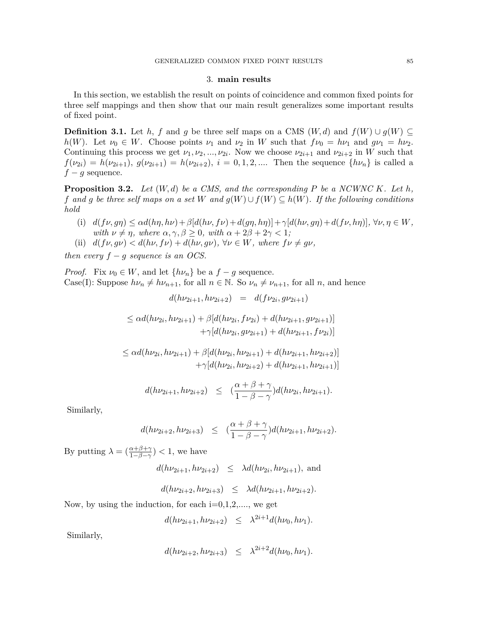# 3. **main results**

In this section, we establish the result on points of coincidence and common fixed points for three self mappings and then show that our main result generalizes some important results of fixed point.

**Definition 3.1.** Let *h*, *f* and *g* be three self maps on a CMS (*W, d*) and  $f(W) \cup g(W) \subseteq$ *h*(*W*). Let  $\nu_0 \in W$ . Choose points  $\nu_1$  and  $\nu_2$  in *W* such that  $f\nu_0 = h\nu_1$  and  $g\nu_1 = h\nu_2$ . Continuing this process we get  $\nu_1, \nu_2, ..., \nu_{2i}$ . Now we choose  $\nu_{2i+1}$  and  $\nu_{2i+2}$  in *W* such that  $f(\nu_{2i}) = h(\nu_{2i+1}), g(\nu_{2i+1}) = h(\nu_{2i+2}), i = 0, 1, 2, \dots$  Then the sequence  $\{h\nu_n\}$  is called a  $f - g$  sequence.

**Proposition 3.2.** *Let* (*W, d*) *be a CMS, and the corresponding P be a NCWNC K. Let h, f* and *g* be three self maps on a set *W* and  $g(W) \cup f(W) \subseteq h(W)$ . If the following conditions *hold*

- (i)  $d(f\nu, g\eta) \leq \alpha d(h\eta, h\nu) + \beta [d(h\nu, f\nu) + d(g\eta, h\eta)] + \gamma [d(h\nu, g\eta) + d(f\nu, h\eta)], \forall \nu, \eta \in W,$ *with*  $\nu \neq \eta$ *, where*  $\alpha, \gamma, \beta \geq 0$ *, with*  $\alpha + 2\beta + 2\gamma < 1$ *;*
- (ii)  $d(f\nu, g\nu) < d(h\nu, f\nu) + d(h\nu, g\nu)$ ,  $\forall \nu \in W$ *, where*  $f\nu \neq g\nu$ *,*

*then every*  $f - g$  *sequence is an OCS.* 

*Proof.* Fix  $\nu_0 \in W$ , and let  $\{h\nu_n\}$  be a  $f - g$  sequence. Case(I): Suppose  $h\nu_n \neq h\nu_{n+1}$ , for all  $n \in \mathbb{N}$ . So  $\nu_n \neq \nu_{n+1}$ , for all *n*, and hence

$$
d(h\nu_{2i+1}, h\nu_{2i+2}) = d(f\nu_{2i}, g\nu_{2i+1})
$$

$$
\leq \alpha d(h\nu_{2i}, h\nu_{2i+1}) + \beta [d(h\nu_{2i}, f\nu_{2i}) + d(h\nu_{2i+1}, g\nu_{2i+1})] +\gamma [d(h\nu_{2i}, g\nu_{2i+1}) + d(h\nu_{2i+1}, f\nu_{2i})]
$$

$$
\leq \alpha d(h\nu_{2i}, h\nu_{2i+1}) + \beta [d(h\nu_{2i}, h\nu_{2i+1}) + d(h\nu_{2i+1}, h\nu_{2i+2})] +\gamma [d(h\nu_{2i}, h\nu_{2i+2}) + d(h\nu_{2i+1}, h\nu_{2i+1})]
$$

$$
d(h\nu_{2i+1}, h\nu_{2i+2}) \leq (\frac{\alpha+\beta+\gamma}{1-\beta-\gamma})d(h\nu_{2i}, h\nu_{2i+1}).
$$

Similarly,

$$
d(h\nu_{2i+2}, h\nu_{2i+3}) \leq (\frac{\alpha+\beta+\gamma}{1-\beta-\gamma})d(h\nu_{2i+1}, h\nu_{2i+2}).
$$

By putting  $\lambda = \left(\frac{\alpha + \beta + \gamma}{1 - \beta - \gamma}\right) < 1$ , we have

$$
d(h\nu_{2i+1}, h\nu_{2i+2}) \leq \lambda d(h\nu_{2i}, h\nu_{2i+1}),
$$
 and

$$
d(h\nu_{2i+2}, h\nu_{2i+3}) \leq \lambda d(h\nu_{2i+1}, h\nu_{2i+2}).
$$

Now, by using the induction, for each  $i=0,1,2,...$ , we get

$$
d(h\nu_{2i+1}, h\nu_{2i+2}) \leq \lambda^{2i+1} d(h\nu_0, h\nu_1).
$$

Similarly,

$$
d(h\nu_{2i+2}, h\nu_{2i+3}) \leq \lambda^{2i+2} d(h\nu_0, h\nu_1).
$$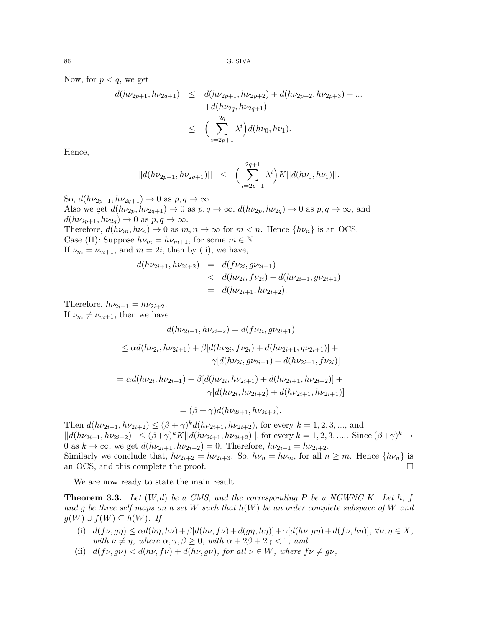Now, for  $p < q$ , we get

$$
d(h\nu_{2p+1}, h\nu_{2q+1}) \leq d(h\nu_{2p+1}, h\nu_{2p+2}) + d(h\nu_{2p+2}, h\nu_{2p+3}) + \dots + d(h\nu_{2q}, h\nu_{2q+1})
$$
  

$$
\leq \left(\sum_{i=2p+1}^{2q} \lambda^i\right) d(h\nu_0, h\nu_1).
$$

Hence,

$$
||d(h\nu_{2p+1}, h\nu_{2q+1})|| \leq \Big(\sum_{i=2p+1}^{2q+1} \lambda^i\Big)K||d(h\nu_0, h\nu_1)||.
$$

So,  $d(h\nu_{2p+1}, h\nu_{2q+1}) \to 0$  as  $p, q \to \infty$ . Also we get  $d(h\nu_{2p}, h\nu_{2q+1}) \rightarrow 0$  as  $p, q \rightarrow \infty$ ,  $d(h\nu_{2p}, h\nu_{2q}) \rightarrow 0$  as  $p, q \rightarrow \infty$ , and  $d(h\nu_{2p+1}, h\nu_{2q}) \rightarrow 0$  as  $p, q \rightarrow \infty$ . Therefore,  $d(h\nu_m, h\nu_n) \to 0$  as  $m, n \to \infty$  for  $m < n$ . Hence  $\{h\nu_n\}$  is an OCS. Case (II): Suppose  $h\nu_m = h\nu_{m+1}$ , for some  $m \in \mathbb{N}$ . If  $\nu_m = \nu_{m+1}$ , and  $m = 2i$ , then by (ii), we have,

$$
d(h\nu_{2i+1}, h\nu_{2i+2}) = d(f\nu_{2i}, g\nu_{2i+1})
$$
  

$$
< d(h\nu_{2i}, f\nu_{2i}) + d(h\nu_{2i+1}, g\nu_{2i+1})
$$
  

$$
= d(h\nu_{2i+1}, h\nu_{2i+2}).
$$

Therefore,  $h\nu_{2i+1} = h\nu_{2i+2}$ . If  $\nu_m \neq \nu_{m+1}$ , then we have

$$
d(h\nu_{2i+1}, h\nu_{2i+2}) = d(f\nu_{2i}, g\nu_{2i+1})
$$

$$
\leq \alpha d(h\nu_{2i}, h\nu_{2i+1}) + \beta [d(h\nu_{2i}, f\nu_{2i}) + d(h\nu_{2i+1}, g\nu_{2i+1})] + \gamma [d(h\nu_{2i}, g\nu_{2i+1}) + d(h\nu_{2i+1}, f\nu_{2i})]
$$

$$
= \alpha d(h\nu_{2i}, h\nu_{2i+1}) + \beta [d(h\nu_{2i}, h\nu_{2i+1}) + d(h\nu_{2i+1}, h\nu_{2i+2})] + \gamma [d(h\nu_{2i}, h\nu_{2i+2}) + d(h\nu_{2i+1}, h\nu_{2i+1})]
$$

$$
= (\beta + \gamma)d(h\nu_{2i+1}, h\nu_{2i+2}).
$$

Then  $d(h\nu_{2i+1}, h\nu_{2i+2}) \leq (\beta + \gamma)^k d(h\nu_{2i+1}, h\nu_{2i+2})$ , for every  $k = 1, 2, 3, ...,$  and  $||d(h\nu_{2i+1}, h\nu_{2i+2})|| \leq (\beta+\gamma)^k K ||d(h\nu_{2i+1}, h\nu_{2i+2})||$ , for every  $k = 1, 2, 3, \dots$ . Since  $(\beta+\gamma)^k \to$ 0 as  $k \to \infty$ , we get  $d(h\nu_{2i+1}, h\nu_{2i+2}) = 0$ . Therefore,  $h\nu_{2i+1} = h\nu_{2i+2}$ . Similarly we conclude that,  $h\nu_{2i+2} = h\nu_{2i+3}$ . So,  $h\nu_n = h\nu_m$ , for all  $n \geq m$ . Hence  $\{h\nu_n\}$  is an OCS, and this complete the proof.  $\Box$ 

We are now ready to state the main result.

**Theorem 3.3.** Let  $(W, d)$  be a CMS, and the corresponding P be a NCWNC K. Let h, f *and g be three self maps on a set W such that h*(*W*) *be an order complete subspace of W and g*(*W*) ∪ *f*(*W*) ⊆ *h*(*W*). *If* 

- (i)  $d(f\nu, g\eta) \leq \alpha d(h\eta, h\nu) + \beta [d(h\nu, f\nu) + d(g\eta, h\eta)] + \gamma [d(h\nu, g\eta) + d(f\nu, h\eta)], \forall \nu, \eta \in X,$ *with*  $\nu \neq \eta$ *, where*  $\alpha, \gamma, \beta \geq 0$ *, with*  $\alpha + 2\beta + 2\gamma < 1$ *; and*
- (ii)  $d(f\nu, g\nu) < d(h\nu, f\nu) + d(h\nu, g\nu)$ , for all  $\nu \in W$ *, where*  $f\nu \neq g\nu$ *,*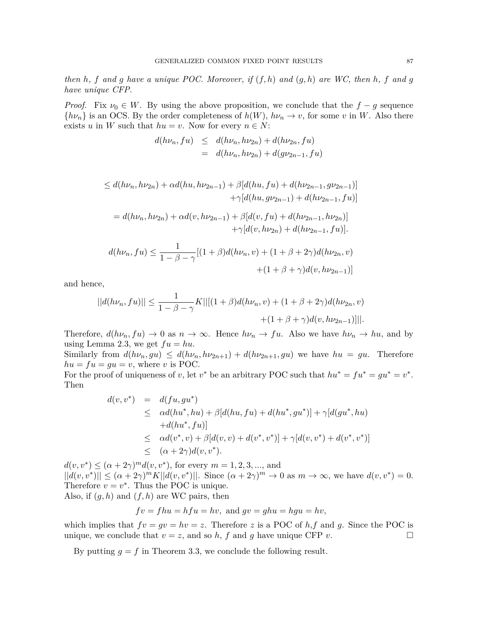*then h, f and g have a unique POC. Moreover, if* (*f, h*) *and* (*g, h*) *are WC, then h, f and g have unique CFP.*

*Proof.* Fix  $\nu_0 \in W$ . By using the above proposition, we conclude that the  $f - g$  sequence  ${h\nu_n}$  is an OCS. By the order completeness of  $h(W)$ ,  $h\nu_n \to v$ , for some *v* in *W*. Also there exists *u* in *W* such that  $hu = v$ . Now for every  $n \in N$ :

$$
d(h\nu_n, fu) \leq d(h\nu_n, h\nu_{2n}) + d(h\nu_{2n}, fu)
$$
  
= 
$$
d(h\nu_n, h\nu_{2n}) + d(g\nu_{2n-1}, fu)
$$

$$
\leq d(h\nu_n, h\nu_{2n}) + \alpha d(hu, h\nu_{2n-1}) + \beta [d(hu, fu) + d(h\nu_{2n-1}, gv_{2n-1})]
$$

$$
+ \gamma [d(hu, gv_{2n-1}) + d(h\nu_{2n-1}, fu)]
$$

$$
= d(h\nu_n, h\nu_{2n}) + \alpha d(v, h\nu_{2n-1}) + \beta [d(v, fu) + d(h\nu_{2n-1}, hv_{2n})]
$$

$$
+ \gamma [d(v, hv_{2n}) + d(h\nu_{2n-1}, fu)].
$$

$$
d(h\nu_n, fu) \leq \frac{1}{1 - \beta - \gamma} [(1 + \beta) d(h\nu_n, v) + (1 + \beta + 2\gamma) d(h\nu_{2n}, v) + (1 + \beta + \gamma) d(v, h\nu_{2n-1})]
$$

and hence,

$$
||d(h\nu_n, fu)|| \le \frac{1}{1 - \beta - \gamma} K||[(1 + \beta)d(h\nu_n, v) + (1 + \beta + 2\gamma)d(h\nu_{2n}, v) + (1 + \beta + \gamma)d(v, h\nu_{2n-1})]||.
$$

Therefore,  $d(h\nu_n, fu) \to 0$  as  $n \to \infty$ . Hence  $h\nu_n \to fu$ . Also we have  $h\nu_n \to hu$ , and by using Lemma 2.3, we get  $fu = hu$ .

Similarly from  $d(h\nu_n, gu) \leq d(h\nu_n, h\nu_{2n+1}) + d(h\nu_{2n+1}, gu)$  we have  $hu = gu$ . Therefore  $hu = fu = gu = v$ , where *v* is POC.

For the proof of uniqueness of *v*, let *v*<sup>\*</sup> be an arbitrary POC such that  $hu^* = fu^* = gu^* = v^*$ . Then

$$
d(v, v^*) = d(fu, gu^*)
$$
  
\n
$$
\leq \alpha d(hu^*, hu) + \beta[d(hu, fu) + d(hu^*, gu^*)] + \gamma[d(gu^*, hu) + d(hu^*, fu)]
$$
  
\n
$$
\leq \alpha d(v^*, v) + \beta[d(v, v) + d(v^*, v^*)] + \gamma[d(v, v^*) + d(v^*, v^*)]
$$
  
\n
$$
\leq (\alpha + 2\gamma)d(v, v^*).
$$

 $d(v, v^*) \leq (\alpha + 2\gamma)^m d(v, v^*)$ , for every  $m = 1, 2, 3, ...,$  and  $||d(v, v^*)|| \leq (\alpha + 2\gamma)^m K ||d(v, v^*)||$ . Since  $(\alpha + 2\gamma)^m \to 0$  as  $m \to \infty$ , we have  $d(v, v^*) = 0$ . Therefore  $v = v^*$ . Thus the POC is unique. Also, if  $(g, h)$  and  $(f, h)$  are WC pairs, then

$$
fv = fhu = hfu = hv, \text{ and } gv = ghu = hyu = hv,
$$

which implies that  $fv = gv = hv = z$ . Therefore z is a POC of  $h, f$  and g. Since the POC is unique, we conclude that  $v = z$ , and so  $h$ ,  $f$  and  $g$  have unique CFP  $v$ .

By putting  $g = f$  in Theorem 3.3, we conclude the following result.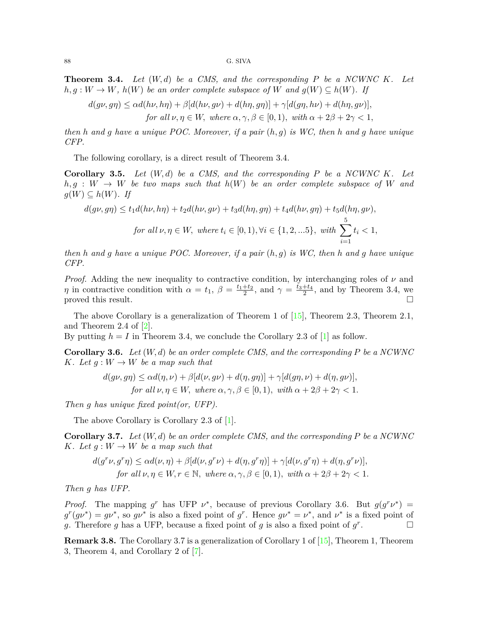#### 88 G. SIVA

**Theorem 3.4.** *Let* (*W, d*) *be a CMS, and the corresponding P be a NCWNC K. Let*  $h, g: W \to W$ ,  $h(W)$  *be an order complete subspace of*  $W$  *and*  $g(W) \subseteq h(W)$ *. If* 

$$
d(g\nu, g\eta) \le \alpha d(h\nu, h\eta) + \beta[d(h\nu, g\nu) + d(h\eta, g\eta)] + \gamma[d(g\eta, h\nu) + d(h\eta, g\nu)],
$$
  
for all  $\nu, \eta \in W$ , where  $\alpha, \gamma, \beta \in [0, 1)$ , with  $\alpha + 2\beta + 2\gamma < 1$ ,

*then h and g have a unique POC. Moreover, if a pair* (*h, g*) *is WC, then h and g have unique CFP.*

The following corollary, is a direct result of Theorem 3.4.

**Corollary 3.5.** *Let* (*W, d*) *be a CMS, and the corresponding P be a NCWNC K. Let*  $h, g: W \rightarrow W$  *be two maps such that*  $h(W)$  *be an order complete subspace of W* and *g*(*W*)  $\subseteq$  *h*(*W*)*. If* 

$$
d(g\nu, g\eta) \le t_1 d(h\nu, h\eta) + t_2 d(h\nu, g\nu) + t_3 d(h\eta, g\eta) + t_4 d(h\nu, g\eta) + t_5 d(h\eta, g\nu),
$$
  
for all  $\nu, \eta \in W$ , where  $t_i \in [0, 1), \forall i \in \{1, 2, \dots, 5\}$ , with  $\sum_{i=1}^{5} t_i < 1$ ,

*then h and g have a unique POC. Moreover, if a pair* (*h, g*) *is WC, then h and g have unique CFP.*

*Proof.* Adding the new inequality to contractive condition, by interchanging roles of  $\nu$  and *η* in contractive condition with  $\alpha = t_1$ ,  $\beta = \frac{t_1+t_2}{2}$ , and  $\gamma = \frac{t_3+t_4}{2}$ , and by Theorem 3.4, we proved this result.  $\Box$ 

The above Corollary is a generalization of Theorem 1 of [\[15](#page-8-9)], Theorem 2.3, Theorem 2.1, and Theorem 2.4 of [\[2\]](#page-7-1).

By putting  $h = I$  in Theorem 3.4, we conclude the Corollary 2.3 of  $[1]$  as follow.

**Corollary 3.6.** *Let* (*W, d*) *be an order complete CMS, and the corresponding P be a NCWNC K. Let*  $q: W \to W$  *be a map such that* 

$$
d(g\nu, g\eta) \le \alpha d(\eta, \nu) + \beta[d(\nu, g\nu) + d(\eta, g\eta)] + \gamma[d(g\eta, \nu) + d(\eta, g\nu)],
$$
  
for all  $\nu, \eta \in W$ , where  $\alpha, \gamma, \beta \in [0, 1)$ , with  $\alpha + 2\beta + 2\gamma < 1$ .

*Then g has unique fixed point(or, UFP).*

The above Corollary is Corollary 2.3 of [[1](#page-7-0)].

**Corollary 3.7.** *Let* (*W, d*) *be an order complete CMS, and the corresponding P be a NCWNC K.* Let  $g: W \to W$  be a map such that

$$
\begin{aligned} d(g^r\nu,g^r\eta) &\leq \alpha d(\nu,\eta) + \beta [d(\nu,g^r\nu) + d(\eta,g^r\eta)] + \gamma [d(\nu,g^r\eta) + d(\eta,g^r\nu)],\\ \text{for all } \nu,\eta \in W, r \in \mathbb{N}, \text{ where } \alpha,\gamma,\beta \in [0,1), \text{ with } \alpha + 2\beta + 2\gamma < 1. \end{aligned}
$$

*Then g has UFP.*

*Proof.* The mapping *g*<sup>*r*</sup> has UFP *ν*<sup>\*</sup>, because of previous Corollary 3.6. But  $g(g^r\nu^*)$  =  $g^r(g\nu^*) = g\nu^*$ , so  $g\nu^*$  is also a fixed point of  $g^r$ . Hence  $g\nu^* = \nu^*$ , and  $\nu^*$  is a fixed point of *g*. Therefore *g* has a UFP, because a fixed point of *g* is also a fixed point of  $g^r$ . □

**Remark 3.8.** The Corollary 3.7 is a generalization of Corollary 1 of [[15](#page-8-9)], Theorem 1, Theorem 3, Theorem 4, and Corollary 2 of [\[7\]](#page-8-1).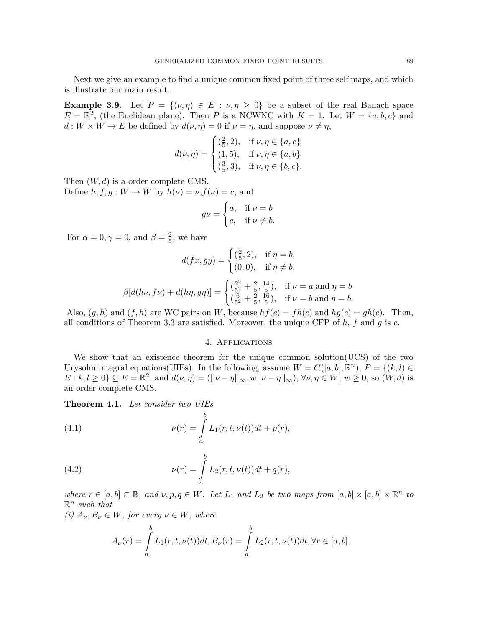Next we give an example to find a unique common fixed point of three self maps, and which is illustrate our main result.

**Example 3.9.** Let  $P = \{(\nu, \eta) \in E : \nu, \eta \geq 0\}$  be a subset of the real Banach space  $E = \mathbb{R}^2$ , (the Euclidean plane). Then *P* is a NCWNC with  $K = 1$ . Let  $W = \{a, b, c\}$  and  $d: W \times \mathcal{W} \to E$  be defined by  $d(\nu, \eta) = 0$  if  $\nu = \eta$ , and suppose  $\nu \neq \eta$ ,

$$
d(\nu, \eta) = \begin{cases} (\frac{2}{5}, 2), & \text{if } \nu, \eta \in \{a, c\} \\ (1, 5), & \text{if } \nu, \eta \in \{a, b\} \\ (\frac{3}{5}, 3), & \text{if } \nu, \eta \in \{b, c\}. \end{cases}
$$

Then (*W, d*) is a order complete CMS.

Define  $h, f, g: W \to W$  by  $h(\nu) = \nu, f(\nu) = c$ , and

$$
g\nu = \begin{cases} a, & \text{if } \nu = b \\ c, & \text{if } \nu \neq b. \end{cases}
$$

For  $\alpha = 0, \gamma = 0$ , and  $\beta = \frac{2}{5}$  $\frac{2}{5}$ , we have

$$
d(fx, gy) = \begin{cases} (\frac{2}{5}, 2), & \text{if } \eta = b, \\ (0, 0), & \text{if } \eta \neq b, \end{cases}
$$

$$
\beta[d(h\nu, f\nu) + d(h\eta, g\eta)] = \begin{cases} (\frac{2^2}{5^2} + \frac{2}{5}, \frac{14}{5}), & \text{if } \nu = a \text{ and } \eta = b, \\ (\frac{6}{5^2} + \frac{2}{5}, \frac{16}{5}), & \text{if } \nu = b \text{ and } \eta = b. \end{cases}
$$

Also,  $(g, h)$  and  $(f, h)$  are WC pairs on *W*, because  $hf(c) = fh(c)$  and  $hg(c) = gh(c)$ . Then, all conditions of Theorem 3.3 are satisfied. Moreover, the unique CFP of *h*, *f* and *g* is *c*.

## 4. Applications

We show that an existence theorem for the unique common solution(UCS) of the two Urysohn integral equations(UIEs). In the following, assume  $W = C([a, b], \mathbb{R}^n)$ ,  $P = \{(k, l) \in$  $E: k, l \geq 0$   $\subseteq E = \mathbb{R}^2$ , and  $d(\nu, \eta) = (||\nu - \eta||_{\infty}, w||\nu - \eta||_{\infty}), \forall \nu, \eta \in W, w \geq 0$ , so  $(W, d)$  is an order complete CMS.

**Theorem 4.1.** *Let consider two UIEs*

(4.1) 
$$
\nu(r) = \int_{a}^{b} L_1(r, t, \nu(t))dt + p(r),
$$

(4.2) 
$$
\nu(r) = \int_{a}^{b} L_2(r, t, \nu(t))dt + q(r),
$$

where  $r \in [a, b] \subset \mathbb{R}$ , and  $\nu, p, q \in W$ . Let  $L_1$  and  $L_2$  be two maps from  $[a, b] \times [a, b] \times \mathbb{R}^n$  to R *n such that*

 $(i)$   $A_{\nu}, B_{\nu} \in W$ *, for every*  $\nu \in W$ *, where* 

$$
A_{\nu}(r) = \int_{a}^{b} L_1(r, t, \nu(t))dt, B_{\nu}(r) = \int_{a}^{b} L_2(r, t, \nu(t))dt, \forall r \in [a, b].
$$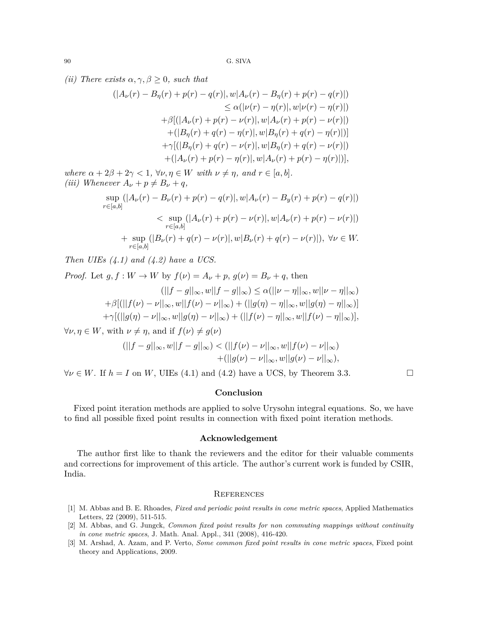*(ii)* There exists  $\alpha, \gamma, \beta \geq 0$ *, such that* 

$$
(|A_{\nu}(r) - B_{\eta}(r) + p(r) - q(r)|, w|A_{\nu}(r) - B_{\eta}(r) + p(r) - q(r)|)
$$
  
\n
$$
\leq \alpha(|\nu(r) - \eta(r)|, w|\nu(r) - \eta(r)|)
$$
  
\n
$$
+ \beta[(|A_{\nu}(r) + p(r) - \nu(r)|, w|A_{\nu}(r) + p(r) - \nu(r)|)
$$
  
\n
$$
+ (|B_{\eta}(r) + q(r) - \eta(r)|, w|B_{\eta}(r) + q(r) - \eta(r)|)]
$$
  
\n
$$
+ \gamma[(|B_{\eta}(r) + q(r) - \nu(r)|, w|B_{\eta}(r) + q(r) - \nu(r)|)
$$
  
\n
$$
+ (|A_{\nu}(r) + p(r) - \eta(r)|, w|A_{\nu}(r) + p(r) - \eta(r)|)],
$$

*where*  $\alpha + 2\beta + 2\gamma < 1$ ,  $\forall \nu, \eta \in W$  *with*  $\nu \neq \eta$ , and  $r \in [a, b]$ . *(iii)* Whenever  $A_{\nu} + p \neq B_{\nu} + q$ ,

$$
\sup_{r \in [a,b]} (|A_{\nu}(r) - B_{\nu}(r) + p(r) - q(r)|, w|A_{\nu}(r) - B_{y}(r) + p(r) - q(r)|)
$$
\n
$$
< \sup_{r \in [a,b]} (|A_{\nu}(r) + p(r) - \nu(r)|, w|A_{\nu}(r) + p(r) - \nu(r)|)
$$
\n
$$
+ \sup_{r \in [a,b]} (|B_{\nu}(r) + q(r) - \nu(r)|, w|B_{\nu}(r) + q(r) - \nu(r)|), \ \forall \nu \in W.
$$

*Then UIEs (4.1) and (4.2) have a UCS.*

*Proof.* Let  $q, f: W \to W$  by  $f(\nu) = A_{\nu} + p$ ,  $q(\nu) = B_{\nu} + q$ , then  $(||f - g||_{\infty}, w||f - g||_{\infty}) \leq \alpha (||\nu - \eta||_{\infty}, w||\nu - \eta||_{\infty})$  $+\beta[ (||f(\nu)-\nu||_{\infty}, w||f(\nu)-\nu||_{\infty}) + (||g(\eta)-\eta||_{\infty}, w||g(\eta)-\eta||_{\infty})]$  $+\gamma [(||g(\eta)-\nu||_{\infty},w||g(\eta)-\nu||_{\infty})+(||f(\nu)-\eta||_{\infty},w||f(\nu)-\eta||_{\infty})],$ 

 $\forall \nu, \eta \in W$ , with  $\nu \neq \eta$ , and if  $f(\nu) \neq g(\nu)$ 

$$
(||f - g||_{\infty}, w||f - g||_{\infty}) < (||f(\nu) - \nu||_{\infty}, w||f(\nu) - \nu||_{\infty}) + (||g(\nu) - \nu||_{\infty}, w||g(\nu) - \nu||_{\infty}),
$$

*∀ν</i> ∈ <i>W</i>. If <math>h = I</math> on <i>W</i>, UIEs (4.1) and (4.2) have a UCS, by Theorem 3.3. □* 

# **Conclusion**

Fixed point iteration methods are applied to solve Urysohn integral equations. So, we have to find all possible fixed point results in connection with fixed point iteration methods.

## **Acknowledgement**

The author first like to thank the reviewers and the editor for their valuable comments and corrections for improvement of this article. The author's current work is funded by CSIR, India.

#### **REFERENCES**

- <span id="page-7-0"></span>[1] M. Abbas and B. E. Rhoades, *Fixed and periodic point results in cone metric spaces*, Applied Mathematics Letters, 22 (2009), 511-515.
- <span id="page-7-1"></span>[2] M. Abbas, and G. Jungck, *Common fixed point results for non commuting mappings without continuity in cone metric spaces*, J. Math. Anal. Appl., 341 (2008), 416-420.
- <span id="page-7-2"></span>[3] M. Arshad, A. Azam, and P. Verto, *Some common fixed point results in cone metric spaces*, Fixed point theory and Applications, 2009.